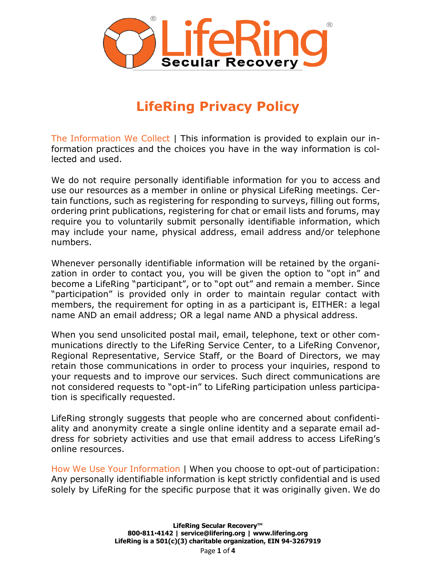

## **LifeRing Privacy Policy**

The Information We Collect | This information is provided to explain our information practices and the choices you have in the way information is collected and used.

We do not require personally identifiable information for you to access and use our resources as a member in online or physical LifeRing meetings. Certain functions, such as registering for responding to surveys, filling out forms, ordering print publications, registering for chat or email lists and forums, may require you to voluntarily submit personally identifiable information, which may include your name, physical address, email address and/or telephone numbers.

Whenever personally identifiable information will be retained by the organization in order to contact you, you will be given the option to "opt in" and become a LifeRing "participant", or to "opt out" and remain a member. Since "participation" is provided only in order to maintain regular contact with members, the requirement for opting in as a participant is, EITHER: a legal name AND an email address; OR a legal name AND a physical address.

When you send unsolicited postal mail, email, telephone, text or other communications directly to the LifeRing Service Center, to a LifeRing Convenor, Regional Representative, Service Staff, or the Board of Directors, we may retain those communications in order to process your inquiries, respond to your requests and to improve our services. Such direct communications are not considered requests to "opt-in" to LifeRing participation unless participation is specifically requested.

LifeRing strongly suggests that people who are concerned about confidentiality and anonymity create a single online identity and a separate email address for sobriety activities and use that email address to access LifeRing's online resources.

How We Use Your Information | When you choose to opt-out of participation: Any personally identifiable information is kept strictly confidential and is used solely by LifeRing for the specific purpose that it was originally given. We do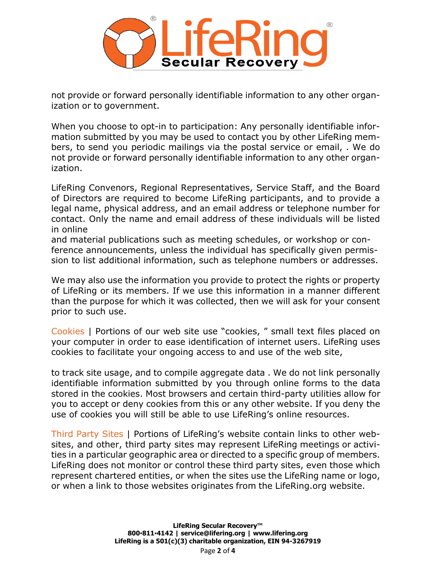

not provide or forward personally identifiable information to any other organization or to government.

When you choose to opt-in to participation: Any personally identifiable information submitted by you may be used to contact you by other LifeRing members, to send you periodic mailings via the postal service or email, . We do not provide or forward personally identifiable information to any other organization.

LifeRing Convenors, Regional Representatives, Service Staff, and the Board of Directors are required to become LifeRing participants, and to provide a legal name, physical address, and an email address or telephone number for contact. Only the name and email address of these individuals will be listed in online

and material publications such as meeting schedules, or workshop or conference announcements, unless the individual has specifically given permission to list additional information, such as telephone numbers or addresses.

We may also use the information you provide to protect the rights or property of LifeRing or its members. If we use this information in a manner different than the purpose for which it was collected, then we will ask for your consent prior to such use.

Cookies | Portions of our web site use "cookies, " small text files placed on your computer in order to ease identification of internet users. LifeRing uses cookies to facilitate your ongoing access to and use of the web site,

to track site usage, and to compile aggregate data . We do not link personally identifiable information submitted by you through online forms to the data stored in the cookies. Most browsers and certain third-party utilities allow for you to accept or deny cookies from this or any other website. If you deny the use of cookies you will still be able to use LifeRing's online resources.

Third Party Sites | Portions of LifeRing's website contain links to other websites, and other, third party sites may represent LifeRing meetings or activities in a particular geographic area or directed to a specific group of members. LifeRing does not monitor or control these third party sites, even those which represent chartered entities, or when the sites use the LifeRing name or logo, or when a link to those websites originates from the LifeRing.org website.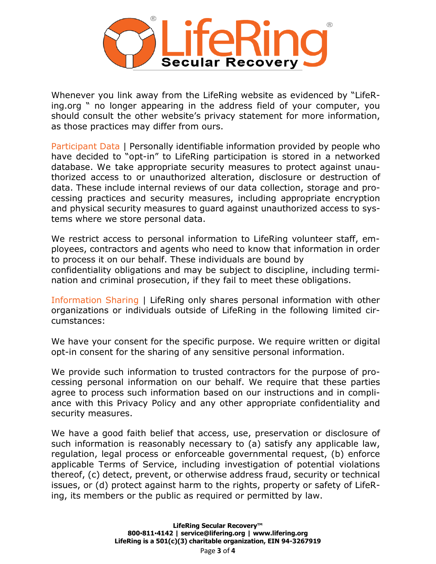

Whenever you link away from the LifeRing website as evidenced by "LifeRing.org " no longer appearing in the address field of your computer, you should consult the other website's privacy statement for more information, as those practices may differ from ours.

Participant Data | Personally identifiable information provided by people who have decided to "opt-in" to LifeRing participation is stored in a networked database. We take appropriate security measures to protect against unauthorized access to or unauthorized alteration, disclosure or destruction of data. These include internal reviews of our data collection, storage and processing practices and security measures, including appropriate encryption and physical security measures to guard against unauthorized access to systems where we store personal data.

We restrict access to personal information to LifeRing volunteer staff, employees, contractors and agents who need to know that information in order to process it on our behalf. These individuals are bound by confidentiality obligations and may be subject to discipline, including termination and criminal prosecution, if they fail to meet these obligations.

Information Sharing | LifeRing only shares personal information with other organizations or individuals outside of LifeRing in the following limited circumstances:

We have your consent for the specific purpose. We require written or digital opt-in consent for the sharing of any sensitive personal information.

We provide such information to trusted contractors for the purpose of processing personal information on our behalf. We require that these parties agree to process such information based on our instructions and in compliance with this Privacy Policy and any other appropriate confidentiality and security measures.

We have a good faith belief that access, use, preservation or disclosure of such information is reasonably necessary to (a) satisfy any applicable law, regulation, legal process or enforceable governmental request, (b) enforce applicable Terms of Service, including investigation of potential violations thereof, (c) detect, prevent, or otherwise address fraud, security or technical issues, or (d) protect against harm to the rights, property or safety of LifeRing, its members or the public as required or permitted by law.